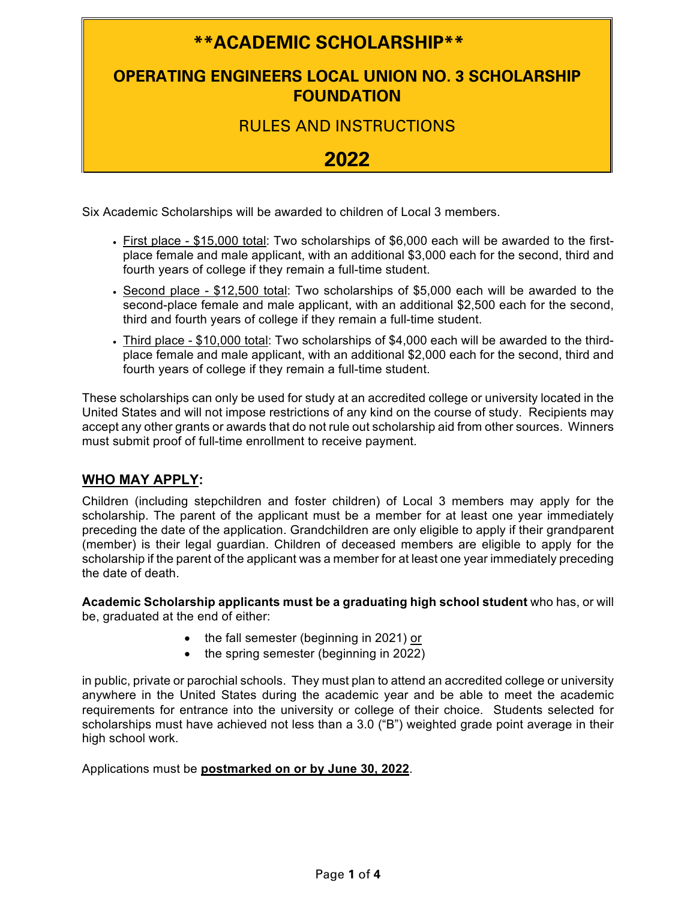# **\*\*ACADEMIC SCHOLARSHIP\*\***

## **OPERATING ENGINEERS LOCAL UNION NO. 3 SCHOLARSHIP FOUNDATION**

RULES AND INSTRUCTIONS

## **2022**

Six Academic Scholarships will be awarded to children of Local 3 members.

- First place \$15,000 total: Two scholarships of \$6,000 each will be awarded to the firstplace female and male applicant, with an additional \$3,000 each for the second, third and fourth years of college if they remain a full-time student.
- Second place \$12,500 total: Two scholarships of \$5,000 each will be awarded to the second-place female and male applicant, with an additional \$2,500 each for the second, third and fourth years of college if they remain a full-time student.
- Third place \$10,000 total: Two scholarships of \$4,000 each will be awarded to the thirdplace female and male applicant, with an additional \$2,000 each for the second, third and fourth years of college if they remain a full-time student.

These scholarships can only be used for study at an accredited college or university located in the United States and will not impose restrictions of any kind on the course of study. Recipients may accept any other grants or awards that do not rule out scholarship aid from other sources. Winners must submit proof of full-time enrollment to receive payment.

#### **WHO MAY APPLY:**

Children (including stepchildren and foster children) of Local 3 members may apply for the scholarship. The parent of the applicant must be a member for at least one year immediately preceding the date of the application. Grandchildren are only eligible to apply if their grandparent (member) is their legal guardian. Children of deceased members are eligible to apply for the scholarship if the parent of the applicant was a member for at least one year immediately preceding the date of death.

**Academic Scholarship applicants must be a graduating high school student** who has, or will be, graduated at the end of either:

- the fall semester (beginning in 2021) or
- the spring semester (beginning in 2022)

in public, private or parochial schools. They must plan to attend an accredited college or university anywhere in the United States during the academic year and be able to meet the academic requirements for entrance into the university or college of their choice. Students selected for scholarships must have achieved not less than a 3.0 ("B") weighted grade point average in their high school work.

Applications must be **postmarked on or by June 30, 2022**.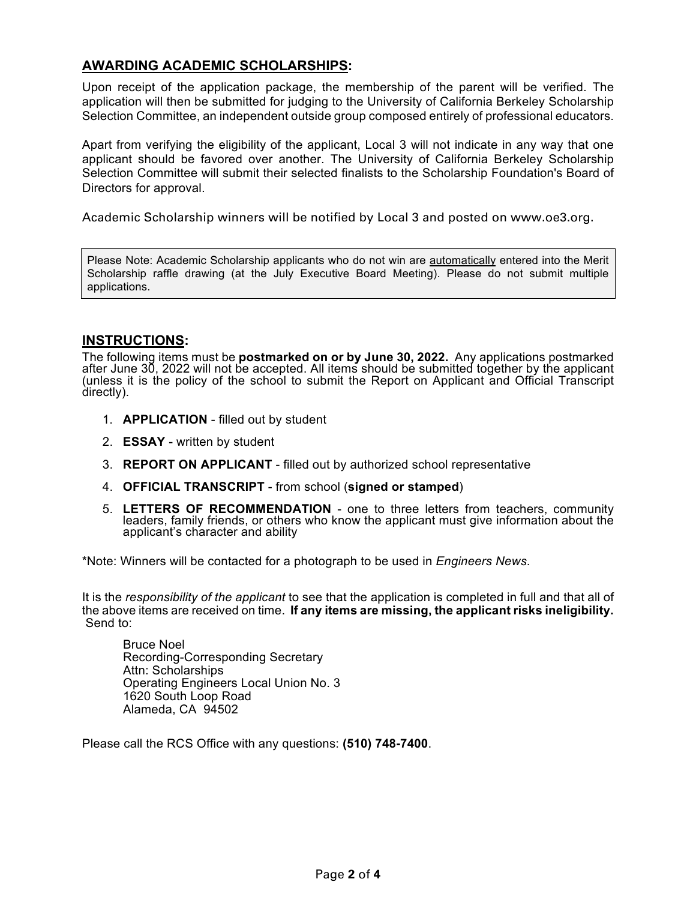### **AWARDING ACADEMIC SCHOLARSHIPS:**

Upon receipt of the application package, the membership of the parent will be verified. The application will then be submitted for judging to the University of California Berkeley Scholarship Selection Committee, an independent outside group composed entirely of professional educators.

Apart from verifying the eligibility of the applicant, Local 3 will not indicate in any way that one applicant should be favored over another. The University of California Berkeley Scholarship Selection Committee will submit their selected finalists to the Scholarship Foundation's Board of Directors for approval.

Academic Scholarship winners will be notified by Local 3 and posted on www.oe3.org.

Please Note: Academic Scholarship applicants who do not win are automatically entered into the Merit Scholarship raffle drawing (at the July Executive Board Meeting). Please do not submit multiple applications.

#### **INSTRUCTIONS:**

The following items must be **postmarked on or by June 30, 2022.** Any applications postmarked after June 30, 2022 will not be accepted. All items should be submitted together by the applicant (unless it is the policy of the school to submit the Report on Applicant and Official Transcript directly).

- 1. **APPLICATION** filled out by student
- 2. **ESSAY** written by student
- 3. **REPORT ON APPLICANT**  filled out by authorized school representative
- 4. **OFFICIAL TRANSCRIPT** from school (**signed or stamped**)
- 5. **LETTERS OF RECOMMENDATION** one to three letters from teachers, community leaders, family friends, or others who know the applicant must give information about the applicant's character and ability

\*Note: Winners will be contacted for a photograph to be used in *Engineers News*.

It is the *responsibility of the applicant* to see that the application is completed in full and that all of the above items are received on time. **If any items are missing, the applicant risks ineligibility.** Send to:

Bruce Noel Recording-Corresponding Secretary Attn: Scholarships Operating Engineers Local Union No. 3 1620 South Loop Road Alameda, CA 94502

Please call the RCS Office with any questions: **(510) 748-7400**.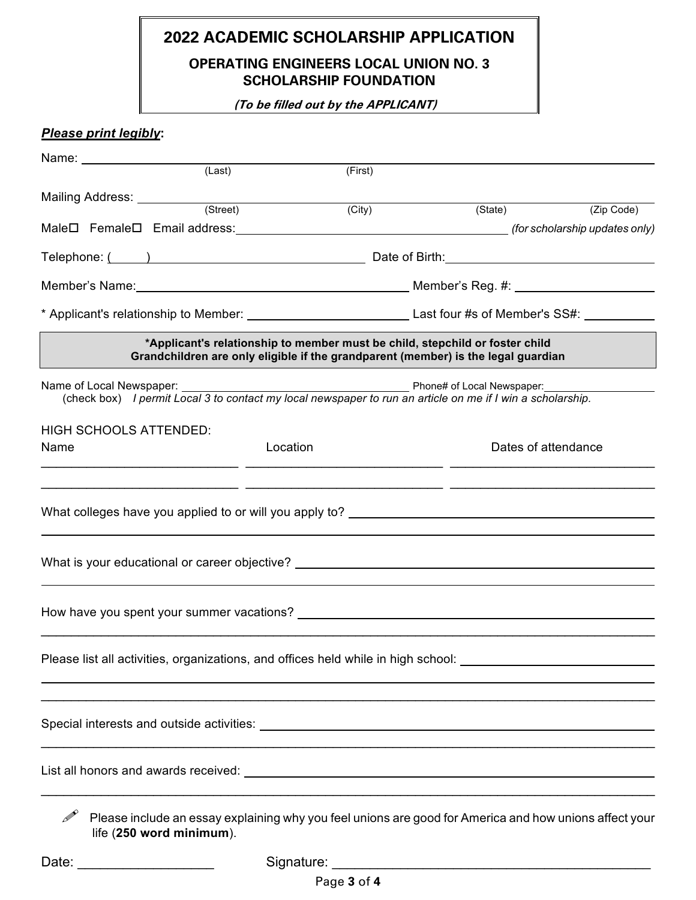## **2022 ACADEMIC SCHOLARSHIP APPLICATION**

## **OPERATING ENGINEERS LOCAL UNION NO. 3 SCHOLARSHIP FOUNDATION**

 **(To be filled out by the APPLICANT)**

## *Please print legibly***:**

|                               | (Last)                   | (First)  |                                                                                                                                                                   |                     |  |  |
|-------------------------------|--------------------------|----------|-------------------------------------------------------------------------------------------------------------------------------------------------------------------|---------------------|--|--|
| Mailing Address: __________   |                          |          |                                                                                                                                                                   |                     |  |  |
|                               | (Street)                 | (City)   |                                                                                                                                                                   | (State) (Zip Code)  |  |  |
|                               |                          |          |                                                                                                                                                                   |                     |  |  |
|                               |                          |          |                                                                                                                                                                   |                     |  |  |
|                               |                          |          |                                                                                                                                                                   |                     |  |  |
|                               |                          |          |                                                                                                                                                                   |                     |  |  |
|                               |                          |          | *Applicant's relationship to member must be child, stepchild or foster child<br>Grandchildren are only eligible if the grandparent (member) is the legal guardian |                     |  |  |
|                               |                          |          | (check box) I permit Local 3 to contact my local newspaper to run an article on me if I win a scholarship.                                                        |                     |  |  |
| <b>HIGH SCHOOLS ATTENDED:</b> |                          |          |                                                                                                                                                                   |                     |  |  |
| Name                          |                          | Location |                                                                                                                                                                   | Dates of attendance |  |  |
|                               |                          |          | What colleges have you applied to or will you apply to? _________________________                                                                                 |                     |  |  |
|                               |                          |          | What is your educational or career objective? __________________________________                                                                                  |                     |  |  |
|                               |                          |          |                                                                                                                                                                   |                     |  |  |
|                               |                          |          | Please list all activities, organizations, and offices held while in high school: ____________________________                                                    |                     |  |  |
|                               |                          |          |                                                                                                                                                                   |                     |  |  |
|                               |                          |          | List all honors and awards received: North and the state of the state of the state of the state of the state o                                                    |                     |  |  |
|                               | life (250 word minimum). |          | Please include an essay explaining why you feel unions are good for America and how unions affect your                                                            |                     |  |  |

Date: \_\_\_\_\_\_\_\_\_\_\_\_\_\_\_\_\_\_ Signature: \_\_\_\_\_\_\_\_\_\_\_\_\_\_\_\_\_\_\_\_\_\_\_\_\_\_\_\_\_\_\_\_\_\_\_\_\_\_\_\_\_\_